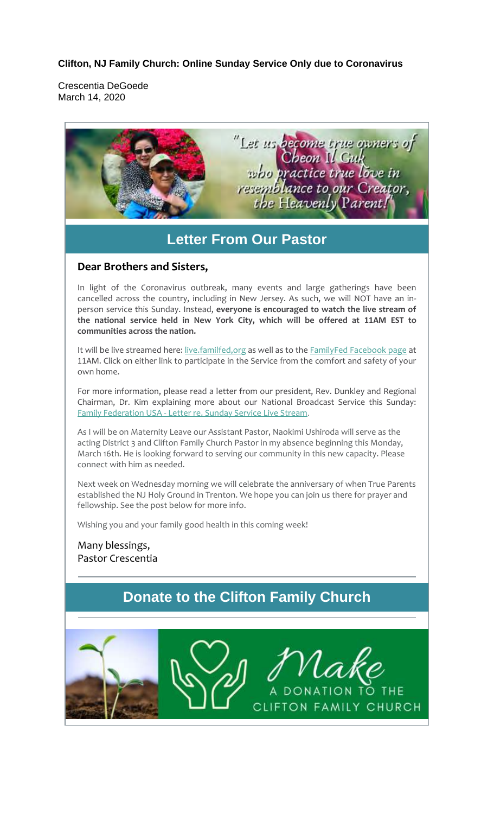## **Clifton, NJ Family Church: Online Sunday Service Only due to Coronavirus**

Crescentia DeGoede March 14, 2020

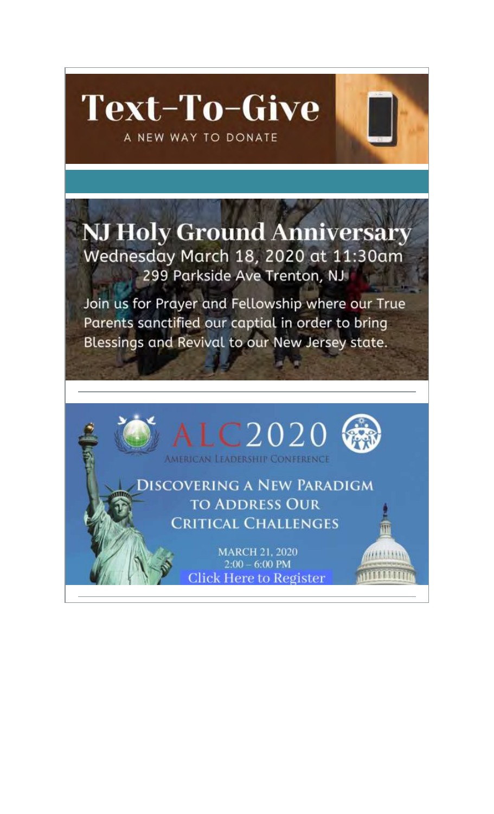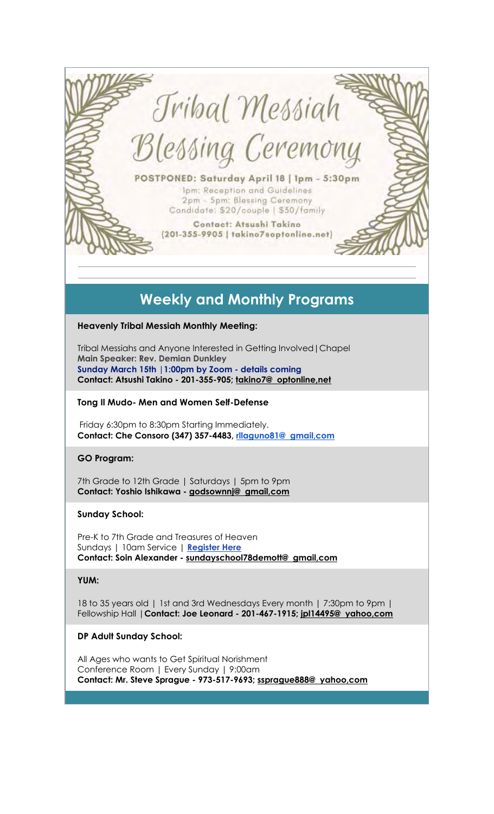

# **Weekly and Monthly Programs**

#### **Heavenly Tribal Messiah Monthly Meeting:**

Tribal Messiahs and Anyone Interested in Getting Involved|Chapel **Main Speaker: Rev. Demian Dunkley Sunday March 15th |1:00pm by Zoom - details coming Contact: Atsushi Takino - 201-355-905; takino7@ optonline,net**

#### **Tong Il Mudo- Men and Women Self-Defense**

Friday 6:30pm to 8:30pm Starting Immediately. **Contact: Che Consoro (347) 357-4483, rllaguno81@ gmail,com**

#### **GO Program:**

7th Grade to 12th Grade | Saturdays | 5pm to 9pm **Contact: Yoshio Ishikawa - godsownnj@ gmail,com**

#### **Sunday School:**

Pre-K to 7th Grade and Treasures of Heaven Sundays | 10am Service | **Register Here Contact: Soin Alexander - sundayschool78demott@ gmail,com**

#### **YUM:**

18 to 35 years old | 1st and 3rd Wednesdays Every month | 7:30pm to 9pm | Fellowship Hall |**Contact: Joe Leonard - 201-467-1915; jpl14495@ yahoo,com**

#### **DP Adult Sunday School:**

All Ages who wants to Get Spiritual Norishment Conference Room | Every Sunday | 9:00am **Contact: Mr. Steve Sprague - 973-517-9693; ssprague888@ yahoo,com**